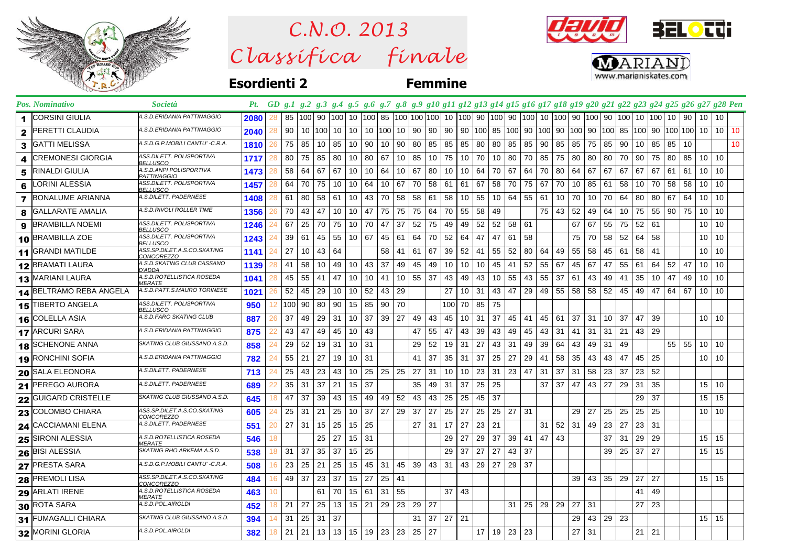

 $Clas$ s ifica finale *C.N.O. 2013*

**BELOTT** 



**Esordienti 2 Femmine**

|                | Pos. Nominativo              | <i>Società</i>                                    |      |          |                  | Pt. GD g.1 g.2 g.3 g.4 g.5 g.6 g.7 g.8 g.9 g10 g11 g12 g13 g14 g15 g16 g17 g18 g19 g20 g21 g22 g23 g24 g25 g26 g27 g28 Pen |     |                      |    |                 |     |              |                 |                 |     |                 |      |    |                 |                           |                 |     |     |        |     |              |                                    |                   |    |                 |                 |    |
|----------------|------------------------------|---------------------------------------------------|------|----------|------------------|----------------------------------------------------------------------------------------------------------------------------|-----|----------------------|----|-----------------|-----|--------------|-----------------|-----------------|-----|-----------------|------|----|-----------------|---------------------------|-----------------|-----|-----|--------|-----|--------------|------------------------------------|-------------------|----|-----------------|-----------------|----|
| 1              | CORSINI GIULIA               | A.S.D.ERIDANIA PATTINAGGIO                        | 2080 |          |                  | 85   100   90   100   10   100   85   100   100   100   10   100   90   100                                                |     |                      |    |                 |     |              |                 |                 |     |                 |      |    | 90   100   10   |                           |                 |     |     |        |     |              | 100  90  100  90  100  10  100  10 |                   | 90 | 10              | 10              |    |
| $\mathbf{2}$   | PERETTI CLAUDIA              | A.S.D.ERIDANIA PATTINAGGIO                        | 2040 | 28       | 90               | 10 100 10                                                                                                                  |     | 10                   |    | 10 100 10       |     | 90           | 90              | 90              |     | 90 100 85       |      |    |                 | 100  90  100  90  100  90 |                 |     |     | 100 85 |     |              |                                    | 100 90 100 100 10 |    |                 | 10 <sup>1</sup> | 10 |
| 3              | GATTI MELISSA                | A.S.D.G.P.MOBILI CANTU' -C.R.A.                   | 1810 | 26       | 75               | 85<br>10                                                                                                                   | 85  | 10                   | 90 | 10              | 90  | 80           | 85              | 85              | 85  | 80              | 80   | 85 | 85              | 90                        | 85              | 85  | 75  | 85     | 90  | 10           | 85                                 | 85                | 10 |                 |                 | 10 |
| 4              | <b>CREMONESI GIORGIA</b>     | ASS.DILETT. POLISPORTIVA<br><b>BELLUSCO</b>       | 1717 | 28       | 80               | 75  <br>85                                                                                                                 | 80  | 10                   | 80 | 67              | 10  | 85           | 10 <sup>°</sup> | 75              | 10  | 70              | 10   | 80 | 70              | 85                        | 75              | 80  | 80  | 80     | 70  | 90           | 75                                 | 80                | 85 | 10              | $\vert$ 10      |    |
| 5              | RINALDI GIULIA               | A.S.D.ANPI POLISPORTIVA<br><b>PATTINAGGIO</b>     | 1473 | 58<br>28 |                  | 64 I<br>-67                                                                                                                | 67  | 10                   | 10 | 64              | 10  | 67           | 80              | 10              | 10  | 64              | 70   | 67 | 64              | 70                        | 80              | 64  | 67  | 67     | 67  | 67           | 67                                 | -61               | 61 | 10              | -10             |    |
| 6              | LORINI ALESSIA               | ASS.DILETT. POLISPORTIVA<br><b>BELLUSCO</b>       | 1457 | 64<br>28 |                  | 70<br>75                                                                                                                   | 10  | 10                   | 64 | 10 I            | -67 | 70           | 58              | - 61            | 61  | 67              | 58   | 70 | 75              | 67                        | 70              | 10  | 85  | -61    | 58  | 10           | 70                                 | 58                | 58 | 10              | - 10            |    |
| $\overline{7}$ | BONALUME ARIANNA             | A.S.DILETT. PADERNESE                             | 1408 | 61       |                  | 80<br>58                                                                                                                   | -61 | 10                   | 43 | 70              | 58  | 58           | 61              | 58              | 10  | 55              | 10   | 64 | 55              | -61                       | 10 <sup>1</sup> | 70  | 10  | 70     | 64  | 80           | 80                                 | 67                | 64 | 10              | -10             |    |
| 8              | <b>GALLARATE AMALIA</b>      | A.S.D.RIVOLI ROLLER TIME                          | 1356 | 26       | 70               | 43<br>47                                                                                                                   | 10  | 10                   | 47 | 75 75           |     | 75           | 64              | 70              | 55  | 58              | 49   |    |                 | 75                        | 43              | 52  | 49  | 64     | 10  | 75           | 55                                 | 90                | 75 | 10              | 10              |    |
| 9              | <b>BRAMBILLA NOEMI</b>       | ASS.DILETT. POLISPORTIVA<br><b>BELLUSCO</b>       | 1246 | 67<br>24 |                  | 25<br>70                                                                                                                   | 75  | 10                   | 70 | 47              | 37  | 52           | 75              | 49              | 49  | 52              | 52   | 58 | -61             |                           |                 | 67  | 67  | 55     | 75  | 52           | 61                                 |                   |    | 10              | -10             |    |
| 10             | <b>BRAMBILLA ZOE</b>         | ASS.DILETT. POLISPORTIVA<br>BELLUSCO              | 1243 | 39<br>24 |                  | 45<br>61                                                                                                                   | 55  | 10                   | 67 | 45              | 61  | 64           | 70              | 52              | 64  | 47              | 47   | 61 | 58              |                           |                 | 75  | 70  | 58     | 52  | 64           | 58                                 |                   |    | 10              | 10              |    |
|                | 11 GRANDI MATILDE            | ASS.SP.DILET.A.S.CO.SKATING<br>CONCOREZZO         | 1141 | 27       |                  | 10<br>43                                                                                                                   | 64  |                      |    | 58              | 41  | 61           | 67              | 39              | 52  | 41              | 55   | 52 | 80 <sup>1</sup> | 64                        | 49              | 55  | 58  | 45     | 61  | 58           | 41                                 |                   |    | 10              | -10             |    |
|                | 12 BRAMATI LAURA             | A.S.D.SKATING CLUB CASSANO<br>D'ADDA              | 1139 | 41<br>28 |                  | 58<br>10                                                                                                                   | 49  | 10                   | 43 | 37              | 49  | 45           | 49              | 10              | 10  | 10              | 45   | 41 | 52              | 55                        | 67              | 45  | 67  | 47     | 55  | 61           | 64                                 | 52                | 47 | 10              | -10             |    |
|                | 13 MARIANI LAURA             | A.S.D.ROTELLISTICA ROSEDA<br><b>MERATE</b>        | 1041 | 45<br>28 |                  | 55<br>41                                                                                                                   | 47  | 10                   | 10 | 41              | 10  | 55           | 37              | 43              | 49  | 43              | 10   | 55 | 43              | 55                        | 37              | -61 | 43  | 49     | 41  | 35           | 10                                 | 47                | 49 | 10              | - 10            |    |
| 14             | <b>IBELTRAMO REBA ANGELA</b> | A.S.D.PATT.S.MAURO TORINESE                       | 1021 | 52<br>26 |                  | 29<br>45                                                                                                                   | 10  | 10                   | 52 | 43              | 29  |              |                 | 27              | 10  | 31              | 43   | 47 | 29              | 49                        | 55              | 58  | 58  | 52     | 45  | 49           | 47                                 | 64                | 67 | 10              | -10             |    |
|                | 15 TIBERTO ANGELA            | ASS.DILETT. POLISPORTIVA<br><b>BELLUSCO</b>       | 950  | 12       | 100 <sub>1</sub> | 90<br>80                                                                                                                   | 90  | 15                   | 85 | 90 <sub>1</sub> | 70  |              |                 | 100             | 70  | 85              | 75   |    |                 |                           |                 |     |     |        |     |              |                                    |                   |    |                 |                 |    |
| 16             | <b>COLELLA ASIA</b>          | A.S.D.FARO SKATING CLUB                           | 887  | 37<br>26 |                  | 49<br>29                                                                                                                   | 31  | 10                   | 37 | $39 \mid 27$    |     | 49           | 43              | 45              | 10  | 31              | 37   | 45 | 41              | 45                        | 61              | 37  | 31  | 10     | 37  | 47           | 39                                 |                   |    | 10 <sup>°</sup> | $\vert$ 10      |    |
|                | 17 ARCURI SARA               | A.S.D.ERIDANIA PATTINAGGIO                        | 875  | 22       | 43               | 49<br>47                                                                                                                   | 45  | 10                   | 43 |                 |     | 47           | 55              | -47             | 43  | 39              | 43   | 49 | 45              | 43                        | 31              | -41 | 31  | 31     | 21  | 43           | 29                                 |                   |    |                 |                 |    |
| 18             | SCHENONE ANNA                | SKATING CLUB GIUSSANO A.S.D.                      | 858  | 29<br>24 |                  | 52<br>19                                                                                                                   | 31  | 10                   | 31 |                 |     | 29           | 52              | 19              | 31  | 27              | 43   | 31 | 49              | 39                        | 64              | 43  | 49  | 31     | 49  |              |                                    | 55 55             |    | 10              | -10             |    |
|                | 19 RONCHINI SOFIA            | A.S.D.ERIDANIA PATTINAGGIO                        | 782  | 24       | 55               | 21<br>27                                                                                                                   | 19  | 10                   | 31 |                 |     | 41           | 37              | 35              | 31  | 37              | 25   | 27 | 29              | 41                        | 58              | 35  | 43  | 43     | 47  | 45           | 25                                 |                   |    | 10 <sup>°</sup> | -10             |    |
|                | 20 SALA ELEONORA             | A.S.DILETT. PADERNESE                             | 713  | 25<br>24 |                  | 43<br>23                                                                                                                   | 43  | 10                   | 25 | 25              | -25 | 27           | 31              | 10              | 10  | 23              | -31  | 23 | 47              | -31                       | 37              | -31 | 58  | 23     | -37 | 23           | 52                                 |                   |    |                 |                 |    |
| 21             | PEREGO AURORA                | A.S.DILETT. PADERNESE                             | 689  | 35<br>22 |                  | 31<br>37                                                                                                                   | 21  | 15                   | 37 |                 |     | 35           | 49              | -31             | 37  | 25              | 25   |    |                 | 37                        | 37              | 47  | 43  | 27     | 29  | 31           | 35                                 |                   |    | 15              | -10             |    |
| 22             | <b>GUIGARD CRISTELLE</b>     | SKATING CLUB GIUSSANO A.S.D.                      | 645  | 47<br>18 |                  | 37<br>39                                                                                                                   | 43  | 15                   | 49 | 49              | 52  | 43           | 43              | 25              | 25  | 45              | 37   |    |                 |                           |                 |     |     |        |     | 29           | 37                                 |                   |    | 15              | 15              |    |
|                | 23 COLOMBO CHIARA            | ASS.SP.DILET.A.S.CO.SKATING<br>CONCOREZZO         | 605  | 24       | 25               | 31<br>21                                                                                                                   | 25  | 10                   | 37 | 27              | 29  | 37           | 27              | 25              | 27  | 25              | 25   | 27 | 31              |                           |                 | 29  | 27  | 25     | 25  | 25           | 25                                 |                   |    | 10              | -10             |    |
| 24             | CACCIAMANI ELENA             | A.S.DILETT. PADERNESE                             | 551  | 27<br>20 |                  | 31<br>15                                                                                                                   | 25  | 15                   | 25 |                 |     | 27           | 31              | 17              | 27  | 23              | -21  |    |                 | 31                        | 52              | 31  | 49  | 23     | 27  | 23           | 31                                 |                   |    |                 |                 |    |
| 25             | SIRONI ALESSIA               | A.S.D.ROTELLISTICA ROSEDA<br><i><b>MERATE</b></i> | 546  |          |                  | 25                                                                                                                         | 27  | 15                   | 31 |                 |     |              |                 | 29              | 27  | 29              | 37   | 39 | 41              | 47                        | 43              |     |     | 37     | 31  | 29           | 29                                 |                   |    | 15              | 15              |    |
|                | 26 BISI ALESSIA              | SKATING RHO ARKEMA A.S.D.                         | 538  | 31<br>18 |                  | -37<br>35                                                                                                                  | 37  | 15 <sub>1</sub>      | 25 |                 |     |              |                 | 29              | 37  | 27              | 27   | 43 | 37              |                           |                 |     |     | 39     | 25  | 37           | 27                                 |                   |    | 15              | 15              |    |
|                | 27 PRESTA SARA               | A.S.D.G.P.MOBILI CANTU' -C.R.A.                   | 508  | 16       | 23               | 21<br>25                                                                                                                   | 25  | 15                   | 45 | 31              | 45  | 39           | 43              | 31              | 43  | 29              | 27   | 29 | 37              |                           |                 |     |     |        |     |              |                                    |                   |    |                 |                 |    |
| 28             | <b>PREMOLI LISA</b>          | 4SS.SP.DILET.A.S.CO.SKATING<br><i>CONCOREZZO</i>  | 484  | 16       | 49               | 37<br>23                                                                                                                   | 37  | 15                   | 27 | $25 \mid 41$    |     |              |                 |                 |     |                 |      |    |                 |                           |                 | 39  | 43  | 35     | 29  | 27           | 27                                 |                   |    | $15$ 15         |                 |    |
| 29             | <b>ARLATI IRENE</b>          | A.S.D.ROTELLISTICA ROSEDA<br><b>MERATE</b>        | 463  | 10       |                  | 61                                                                                                                         | 70  | 15                   | 61 | 31              | 55  |              |                 | 37 <sup>1</sup> | -43 |                 |      |    |                 |                           |                 |     |     |        |     | 41           | 49                                 |                   |    |                 |                 |    |
|                | 30 ROTA SARA                 | A.S.D.POL.AIROLDI                                 | 452  | 21<br>18 |                  | 27<br>25                                                                                                                   |     | $13 \mid 15 \mid 21$ |    | $29 \mid 23$    |     | $29 \mid 27$ |                 |                 |     |                 |      | 31 |                 | $25 \mid 29 \mid 29$      |                 | 27  | 31  |        |     | 27           | 23                                 |                   |    |                 |                 |    |
|                | 31 FUMAGALLI CHIARA          | SKATING CLUB GIUSSANO A.S.D.                      | 394  | 31       |                  | 25<br>31                                                                                                                   | 37  |                      |    |                 |     | 31           | 37              | 27 I            | 21  |                 |      |    |                 |                           |                 | 29  | 43  | 29     | 23  |              |                                    |                   |    | 15 15           |                 |    |
|                | 32 MORINI GLORIA             | A.S.D.POL.AIROLDI                                 | 382  | 21<br>18 |                  | 21 <sup>1</sup>                                                                                                            |     | $13 \mid 13 \mid 15$ |    | 19 23           | 23  | 25           | 27              |                 |     | 17 <sup>2</sup> | 19 I | 23 | 23              |                           |                 | 27  | -31 |        |     | $21 \mid 21$ |                                    |                   |    |                 |                 |    |
|                |                              |                                                   |      |          |                  |                                                                                                                            |     |                      |    |                 |     |              |                 |                 |     |                 |      |    |                 |                           |                 |     |     |        |     |              |                                    |                   |    |                 |                 |    |